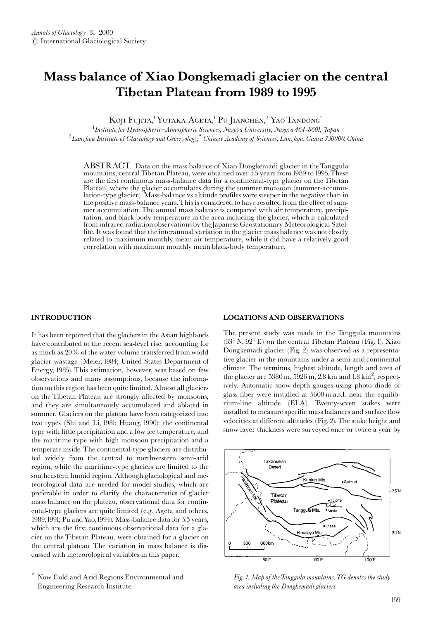# Mass balance of Xiao Dongkemadi glacier on the central Tibetan Plateau from 1989 to 1995

KOJI FUJITA,<sup>1</sup> YUTAKA AGETA,<sup>1</sup> PU JIANCHEN,<sup>2</sup> YAO TANDONG<sup>2</sup>

 $^1$ Institute for Hydrospheric $-A$ tmospheric Sciences, Nagoya University, Nagoya 464-8601, Japan  ${}^2$ Lanzhou Institute of Glaciology and Geocryology, $^*$  Chinese Academy of Sciences, Lanzhou, Gansu 730000, China

ABSTRACT. Data on the mass balance of Xiao Dongkemadi glacier in the Tanggula mountains, central Tibetan Plateau, were obtained over 5.5 years from 1989 to 1995. These are the first continuous mass-balance data for a continental-type glacier on the Tibetan Plateau, where the glacier accumulates during the summer monsoon (summer-accumulation-type glacier). Mass-balance vs altitude profiles were steeper in the negative than in the positive mass-balance years. This is considered to have resulted from the effect of summer accumulation. The annual mass balance is compared with air temperature, precipitation, and black-body temperature in the area including the glacier, which is calculated from infrared radiation observations by the Japanese Geostationary Meteorological Satellite. It was found that the interannual variation in the glacier mass balance was not closely related to maximum monthly mean air temperature, while it did have a relatively good correlation with maximum monthly mean black-body temperature.

# **INTRODUCTION**

It has been reported that the glaciers in the Asian highlands have contributed to the recent sea-level rise, accounting for as much as 20% of the water volume transferred from world glacier wastage (Meier, 1984; United States Department of Energy, 1985). This estimation, however, was based on few observations and many assumptions, because the information on this region has been quite limited. Almost all glaciers on the Tibetan Plateau are strongly affected by monsoons, and they are simultaneously accumulated and ablated in summer. Glaciers on the plateau have been categorized into two types (Shi and Li, 1981; Huang, 1990): the continental type with little precipitation and a low ice temperature, and the maritime type with high monsoon precipitation and a temperate inside. The continental-type glaciers are distributed widely from the central to northwestern semi-arid region, while the maritime-type glaciers are limited to the southeastern humid region. Although glaciological and meteorological data are needed for model studies, which are preferable in order to clarify the characteristics of glacier mass balance on the plateau, observational data for continental-type glaciers are quite limited (e.g. Ageta and others, 1989, 1991; Pu and Yao, 1994). Mass-balance data for 5.5 years, which are the first continuous observational data for a glacier on the Tibetan Plateau, were obtained for a glacier on the central plateau. The variation in mass balance is discussed with meteorological variables in this paper.

# **LOCATIONS AND OBSERVATIONS**

The present study was made in the Tanggula mountains  $(33^{\circ} N, 92^{\circ} E)$  on the central Tibetan Plateau (Fig. 1). Xiao Dongkemadi glacier (Fig. 2) was observed as a representative glacier in the mountains under a semi-arid continental climate. The terminus, highest altitude, length and area of the glacier are 5380 m, 5926 m, 2.8 km and 1.8 km<sup>2</sup>, respectively. Automatic snow-depth gauges using photo diode or glass fiber were installed at 5600 m a.s.l. near the equilibrium-line altitude (ELA). Twenty-seven stakes were installed to measure specific mass balances and surface flow velocities at different altitudes (Fig. 2). The stake height and snow layer thickness were surveyed once or twice a year by



Fig. 1. Map of the Tanggula mountains. TG denotes the study area including the Dongkemadi glaciers.

Now Cold and Arid Regions Environmental and Engineering Research Institute.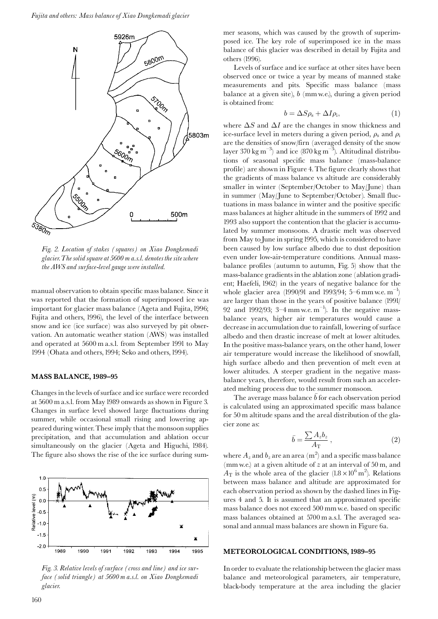

Fig. 2. Location of stakes (squares) on Xiao Dongkemadi glacier. The solid square at 5600 m a.s.l. denotes the site where the AWS and surface-level gauge were installed.

manual observation to obtain specific mass balance. Since it was reported that the formation of superimposed ice was important for glacier mass balance (Ageta and Fujita, 1996; Fujita and others, 1996), the level of the interface between snow and ice (ice surface) was also surveyed by pit observation. An automatic weather station (AWS) was installed and operated at 5600 m a.s.l. from September 1991 to May 1994 (Ohata and others, 1994; Seko and others, 1994).

## MASS BALANCE, 1989-95

Changes in the levels of surface and ice surface were recorded at 5600 m a.s.l. from May 1989 onwards as shown in Figure 3. Changes in surface level showed large fluctuations during summer, while occasional small rising and lowering appeared during winter. These imply that the monsoon supplies precipitation, and that accumulation and ablation occur simultaneously on the glacier (Ageta and Higuchi, 1984). The figure also shows the rise of the ice surface during sum-



Fig. 3. Relative levels of surface (cross and line) and ice surface (solid triangle) at 5600 m a.s.l. on Xiao Dongkemadi glacier.

mer seasons, which was caused by the growth of superimposed ice. The key role of superimposed ice in the mass balance of this glacier was described in detail by Fujita and others (1996).

Levels of surface and ice surface at other sites have been observed once or twice a year by means of manned stake measurements and pits. Specific mass balance (mass balance at a given site),  $b$  (mm w.e.), during a given period is obtained from:

$$
b = \Delta S \rho_s + \Delta I \rho_i, \tag{1}
$$

where  $\Delta S$  and  $\Delta I$  are the changes in snow thickness and ice-surface level in meters during a given period,  $\rho_s$  and  $\rho_i$ are the densities of snow/firm (averaged density of the snow layer 370 kg m<sup>-3</sup>) and ice (870 kg m<sup>-3</sup>). Altitudinal distributions of seasonal specific mass balance (mass-balance profile) are shown in Figure 4. The figure clearly shows that the gradients of mass balance vs altitude are considerably smaller in winter (September/October to May/June) than in summer (May/June to September/October). Small fluctuations in mass balance in winter and the positive specific mass balances at higher altitude in the summers of 1992 and 1993 also support the contention that the glacier is accumulated by summer monsoons. A drastic melt was observed from May to June in spring 1995, which is considered to have been caused by low surface albedo due to dust deposition even under low-air-temperature conditions. Annual massbalance profiles (autumn to autumn, Fig. 5) show that the mass-balance gradients in the ablation zone (ablation gradient; Haefeli, 1962) in the years of negative balance for the whole glacier area (1990/91 and 1993/94; 5–6 mm w.e.  $m^{-1}$ ) are larger than those in the years of positive balance (1991/ 92 and 1992/93; 3–4 mm w.e.  $m^{-1}$ ). In the negative massbalance years, higher air temperatures would cause a decrease in accumulation due to rainfall, lowering of surface albedo and then drastic increase of melt at lower altitudes. In the positive mass-balance years, on the other hand, lower air temperature would increase the likelihood of snowfall, high surface albedo and then prevention of melt even at lower altitudes. A steeper gradient in the negative massbalance years, therefore, would result from such an accelerated melting process due to the summer monsoon.

The average mass balance  $\bar{b}$  for each observation period is calculated using an approximated specific mass balance for 50 m altitude spans and the areal distribution of the glacier zone as:

$$
\bar{b} = \frac{\sum A_z b_z}{A_{\rm T}}\,,\tag{2}
$$

where  $A_z$  and  $b_z$  are an area (m<sup>2</sup>) and a specific mass balance (mm w.e.) at a given altitude of  $z$  at an interval of 50 m, and  $A_T$  is the whole area of the glacier  $(1.8 \times 10^6 \text{ m}^2)$ . Relations between mass balance and altitude are approximated for each observation period as shown by the dashed lines in Figures 4 and 5. It is assumed that an approximated specific mass balance does not exceed 500 mm w.e. based on specific mass balances obtained at 5700 m a.s.l. The averaged seasonal and annual mass balances are shown in Figure 6a.

#### **METEOROLOGICAL CONDITIONS, 1989-95**

In order to evaluate the relationship between the glacier mass balance and meteorological parameters, air temperature, black-body temperature at the area including the glacier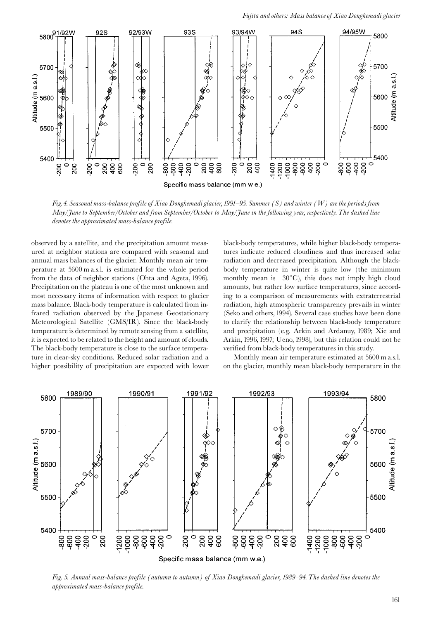

Fig. 4. Seasonal mass-balance profile of Xiao Dongkemadi glacier, 1991–95. Summer (S) and winter (W) are the periods from May/June to September/October and from September/October to May/June in the following year, respectively. The dashed line denotes the approximated mass-balance profile.

observed by a satellite, and the precipitation amount measured at neighbor stations are compared with seasonal and annual mass balances of the glacier. Monthly mean air temperature at 5600 m a.s.l. is estimated for the whole period from the data of neighbor stations (Ohta and Ageta, 1996). Precipitation on the plateau is one of the most unknown and most necessary items of information with respect to glacier mass balance. Black-body temperature is calculated from infrared radiation observed by the Japanese Geostationary Meteorological Satellite (GMS/IR). Since the black-body temperature is determined by remote sensing from a satellite, it is expected to be related to the height and amount of clouds. The black-body temperature is close to the surface temperature in clear-sky conditions. Reduced solar radiation and a higher possibility of precipitation are expected with lower

black-body temperatures, while higher black-body temperatures indicate reduced cloudiness and thus increased solar radiation and decreased precipitation. Although the blackbody temperature in winter is quite low (the minimum monthly mean is  $-30^{\circ}$ C), this does not imply high cloud amounts, but rather low surface temperatures, since according to a comparison of measurements with extraterrestrial radiation, high atmospheric transparency prevails in winter (Seko and others, 1994). Several case studies have been done to clarify the relationship between black-body temperature and precipitation (e.g. Arkin and Ardanuy, 1989; Xie and Arkin, 1996, 1997; Ueno, 1998), but this relation could not be verified from black-body temperatures in this study.

Monthly mean air temperature estimated at 5600 m a.s.l. on the glacier, monthly mean black-body temperature in the



Fig. 5. Annual mass-balance profile (autumn to autumn) of Xiao Dongkemadi glacier, 1989–94. The dashed line denotes the approximated mass-balance profile.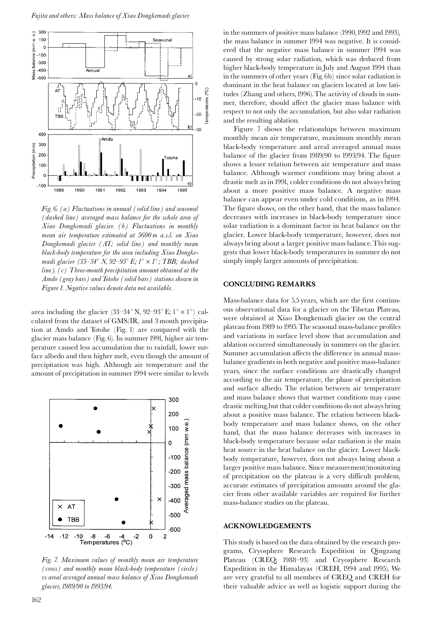

Fig. 6. (a) Fluctuations in annual (solid line) and seasonal (dashed line) averaged mass balance for the whole area of Xiao Dongkemadi glacier. (b) Fluctuations in monthly mean air temperature estimated at 5600 m a.s.l. on Xiao Dongkemadi glacier (AT; solid line) and monthly mean black-body temperature for the area including Xiao Dongkemadi glacier (33–34° N, 92–93° E;  $I^{\circ} \times I^{\circ}$ ; TBB; dashed  $line$ ). (c) Three-month precipitation amount obtained at the Amdo (gray bars) and Totohe (solid bars) stations shown in Figure 1. Negative values denote data not available.

area including the glacier  $(33-34^{\circ} N, 92-93^{\circ} E; 1^{\circ} \times 1^{\circ})$  calculated from the dataset of GMS/IR, and 3 month precipitation at Amdo and Totohe (Fig. 1) are compared with the glacier mass balance (Fig. 6). In summer 1991, higher air temperature caused less accumulation due to rainfall, lower surface albedo and then higher melt, even though the amount of precipitation was high. Although air temperature and the amount of precipitation in summer 1994 were similar to levels



Fig. 7. Maximum values of monthly mean air temperature (cross) and monthly mean black-body temperature (circle) vs areal averaged annual mass balance of Xiao Dongkemadi glacier, 1989/90 to 1993/94.

in the summers of positive mass balance (1990, 1992 and 1993), the mass balance in summer 1994 was negative. It is considered that the negative mass balance in summer 1994 was caused by strong solar radiation, which was deduced from higher black-body temperature in July and August 1994 than in the summers of other years (Fig. 6b) since solar radiation is dominant in the heat balance on glaciers located at low latitudes (Zhang and others, 1996). The activity of clouds in summer, therefore, should affect the glacier mass balance with respect to not only the accumulation, but also solar radiation and the resulting ablation.

Figure 7 shows the relationships between maximum monthly mean air temperature, maximum monthly mean black-body temperature and areal averaged annual mass balance of the glacier from 1989/90 to 1993/94. The figure shows a lesser relation between air temperature and mass balance. Although warmer conditions may bring about a drastic melt as in 1991, colder conditions do not always bring about a more positive mass balance. A negative mass balance can appear even under cold conditions, as in 1994. The figure shows, on the other hand, that the mass balance decreases with increases in black-body temperature since solar radiation is a dominant factor in heat balance on the glacier. Lower black-body temperature, however, does not always bring about a larger positive mass balance. This suggests that lower black-body temperatures in summer do not simply imply larger amounts of precipitation.

## **CONCLUDING REMARKS**

Mass-balance data for 5.5 years, which are the first continuous observational data for a glacier on the Tibetan Plateau, were obtained at Xiao Dongkemadi glacier on the central plateau from 1989 to 1995. The seasonal mass-balance profiles and variations in surface level show that accumulation and ablation occurred simultaneously in summers on the glacier. Summer accumulation affects the difference in annual massbalance gradients in both negative and positive mass-balance years, since the surface conditions are drastically changed according to the air temperature, the phase of precipitation and surface albedo. The relation between air temperature and mass balance shows that warmer conditions may cause drastic melting, but that colder conditions do not always bring about a positive mass balance. The relation between blackbody temperature and mass balance shows, on the other hand, that the mass balance decreases with increases in black-body temperature because solar radiation is the main heat source in the heat balance on the glacier. Lower blackbody temperature, however, does not always bring about a larger positive mass balance. Since measurement/monitoring of precipitation on the plateau is a very difficult problem, accurate estimates of precipitation amounts around the glacier from other available variables are required for further mass-balance studies on the plateau.

# **ACKNOWLEDGEMENTS**

This study is based on the data obtained by the research programs, Cryosphere Research Expedition in Qingzang Plateau (CREQ; 1988-93) and Cryosphere Research Expedition in the Himalayas (CREH, 1994 and 1995). We are very grateful to all members of CREQ and CREH for their valuable advice as well as logistic support during the